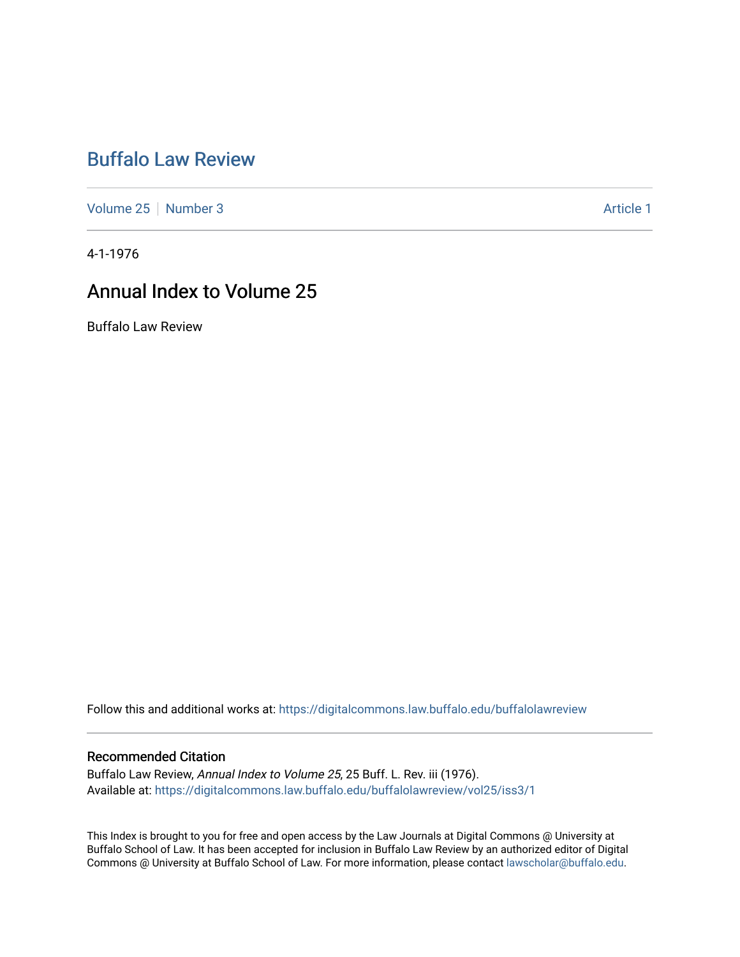## [Buffalo Law Review](https://digitalcommons.law.buffalo.edu/buffalolawreview)

[Volume 25](https://digitalcommons.law.buffalo.edu/buffalolawreview/vol25) [Number 3](https://digitalcommons.law.buffalo.edu/buffalolawreview/vol25/iss3) Article 1

4-1-1976

## Annual Index to Volume 25

Buffalo Law Review

Follow this and additional works at: [https://digitalcommons.law.buffalo.edu/buffalolawreview](https://digitalcommons.law.buffalo.edu/buffalolawreview?utm_source=digitalcommons.law.buffalo.edu%2Fbuffalolawreview%2Fvol25%2Fiss3%2F1&utm_medium=PDF&utm_campaign=PDFCoverPages) 

### Recommended Citation

Buffalo Law Review, Annual Index to Volume 25, 25 Buff. L. Rev. iii (1976). Available at: [https://digitalcommons.law.buffalo.edu/buffalolawreview/vol25/iss3/1](https://digitalcommons.law.buffalo.edu/buffalolawreview/vol25/iss3/1?utm_source=digitalcommons.law.buffalo.edu%2Fbuffalolawreview%2Fvol25%2Fiss3%2F1&utm_medium=PDF&utm_campaign=PDFCoverPages) 

This Index is brought to you for free and open access by the Law Journals at Digital Commons @ University at Buffalo School of Law. It has been accepted for inclusion in Buffalo Law Review by an authorized editor of Digital Commons @ University at Buffalo School of Law. For more information, please contact [lawscholar@buffalo.edu](mailto:lawscholar@buffalo.edu).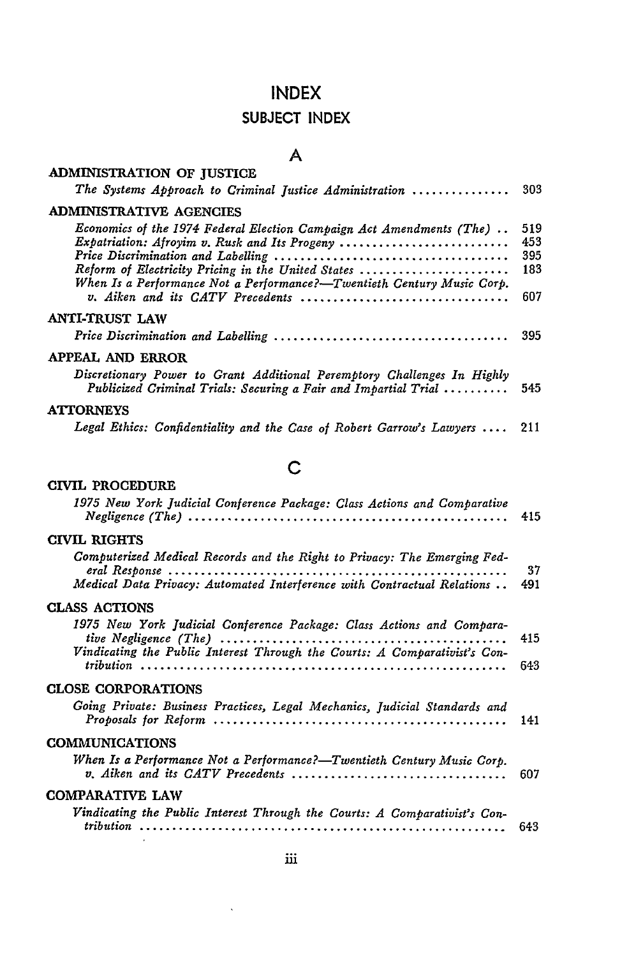## **SUBJECT INDEX**

## **A**

| <b>ADMINISTRATION OF JUSTICE</b><br>The Systems Approach to Criminal Justice Administration                                                                                                                                                                                                                                                                | 303                             |
|------------------------------------------------------------------------------------------------------------------------------------------------------------------------------------------------------------------------------------------------------------------------------------------------------------------------------------------------------------|---------------------------------|
| <b>ADMINISTRATIVE AGENCIES</b>                                                                                                                                                                                                                                                                                                                             |                                 |
| Economics of the 1974 Federal Election Campaign Act Amendments (The)<br>Expatriation: Afroyim v. Rusk and Its Progeny<br>Reform of Electricity Pricing in the United States<br>When Is a Performance Not a Performance?-Twentieth Century Music Corp.<br>v. Aiken and its CATV Precedents $\ldots, \ldots, \ldots, \ldots, \ldots, \ldots, \ldots, \ldots$ | 519<br>453<br>395<br>183<br>607 |
| ANTI-TRUST LAW                                                                                                                                                                                                                                                                                                                                             |                                 |
|                                                                                                                                                                                                                                                                                                                                                            | 395                             |
| APPEAL AND ERROR                                                                                                                                                                                                                                                                                                                                           |                                 |
| Discretionary Power to Grant Additional Peremptory Challenges In Highly<br>Publicized Criminal Trials: Securing a Fair and Impartial Trial  545                                                                                                                                                                                                            |                                 |
| <b>ATTORNEYS</b>                                                                                                                                                                                                                                                                                                                                           |                                 |
| Legal Ethics: Confidentiality and the Case of Robert Garrow's Lawyers $\dots$                                                                                                                                                                                                                                                                              | 211                             |

## **C**

## **CIVIL** PROCEDURE

| 1975 New York Judicial Conference Package: Class Actions and Comparative                                                                            | 415       |
|-----------------------------------------------------------------------------------------------------------------------------------------------------|-----------|
| CIVIL RIGHTS                                                                                                                                        |           |
| Computerized Medical Records and the Right to Privacy: The Emerging Fed-<br>Medical Data Privacy: Automated Interference with Contractual Relations | 37<br>491 |
| <b>CLASS ACTIONS</b>                                                                                                                                |           |
| 1975 New York Judicial Conference Package: Class Actions and Compara-<br>Vindicating the Public Interest Through the Courts: A Comparativist's Con- | 415       |
|                                                                                                                                                     | 643       |
| <b>CLOSE CORPORATIONS</b>                                                                                                                           |           |
| Going Private: Business Practices, Legal Mechanics, Judicial Standards and                                                                          | 141       |
| <b>COMMUNICATIONS</b>                                                                                                                               |           |
| When Is a Performance Not a Performance?—Twentieth Century Music Corp.<br>v. Aiken and its CATV Precedents                                          | 607       |
| <b>COMPARATIVE LAW</b>                                                                                                                              |           |
| Vindicating the Public Interest Through the Courts: A Comparativist's Con-                                                                          | 643       |

 $\ddot{\phantom{0}}$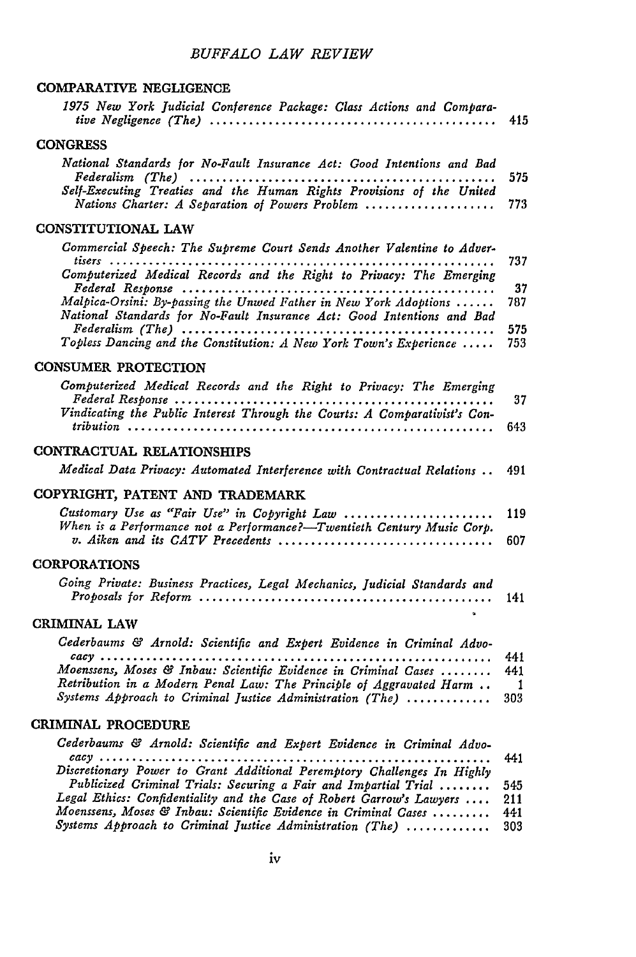## *BUFFALO LAW REVIEW*

#### COMPARATIVE **NEGLIGENCE**

| 1975 New York Judicial Conference Package: Class Actions and Compara-<br>tive Negligence (The) $\ldots \ldots \ldots \ldots \ldots \ldots \ldots \ldots \ldots \ldots \ldots \ldots \ldots$ | 415                        |
|---------------------------------------------------------------------------------------------------------------------------------------------------------------------------------------------|----------------------------|
| <b>CONGRESS</b>                                                                                                                                                                             |                            |
| National Standards for No-Fault Insurance Act: Good Intentions and Bad                                                                                                                      | 575                        |
| Self-Executing Treaties and the Human Rights Provisions of the United<br>Nations Charter: A Separation of Powers Problem                                                                    | 773                        |
| CONSTITUTIONAL LAW                                                                                                                                                                          |                            |
| Commercial Speech: The Supreme Court Sends Another Valentine to Adver-<br>$t isers$                                                                                                         | 737                        |
| Computerized Medical Records and the Right to Privacy: The Emerging                                                                                                                         | 37                         |
| Malpica-Orsini: By-passing the Unwed Father in New York Adoptions<br>National Standards for No-Fault Insurance Act: Good Intentions and Bad                                                 | 787<br>575                 |
| Topless Dancing and the Constitution: A New York Town's Experience                                                                                                                          | 753                        |
| <b>CONSUMER PROTECTION</b>                                                                                                                                                                  |                            |
| Computerized Medical Records and the Right to Privacy: The Emerging                                                                                                                         | 37                         |
| Vindicating the Public Interest Through the Courts: A Comparativist's Con-                                                                                                                  | 643                        |
| CONTRACTUAL RELATIONSHIPS                                                                                                                                                                   |                            |
| Medical Data Privacy: Automated Interference with Contractual Relations                                                                                                                     | 491                        |
| COPYRIGHT, PATENT AND TRADEMARK                                                                                                                                                             |                            |
| Customary Use as "Fair Use" in Copyright Law<br>When is a Performance not a Performance?-Twentieth Century Music Corp.<br>v. Aiken and its CATV Precedents                                  | 119<br>607                 |
| <b>CORPORATIONS</b>                                                                                                                                                                         |                            |
| Going Private: Business Practices, Legal Mechanics, Judicial Standards and                                                                                                                  | 141                        |
| CRIMINAL LAW                                                                                                                                                                                |                            |
| Cederbaums & Arnold: Scientific and Expert Evidence in Criminal Advo-                                                                                                                       |                            |
| Moenssens, Moses & Inbau: Scientific Evidence in Criminal Cases<br>Retribution in a Modern Penal Law: The Principle of Aggravated Harm                                                      | 441<br>441<br>$\mathbf{1}$ |
| Systems Approach to Criminal Justice Administration (The)                                                                                                                                   | 303                        |
| CRIMINAL PROCEDURE                                                                                                                                                                          |                            |
| Cederbaums & Arnold: Scientific and Expert Evidence in Criminal Advo-                                                                                                                       |                            |
| Discretionary Power to Grant Additional Peremptory Challenges In Highly                                                                                                                     | 441                        |
| Publicized Criminal Trials: Securing a Fair and Impartial Trial<br>Legal Ethics: Confidentiality and the Case of Robert Garrow's Lawyers                                                    | 545<br>211                 |
| Moenssens, Moses & Inbau: Scientific Evidence in Criminal Cases<br>Systems Approach to Criminal Iustice Administration (The)                                                                | 441<br>303                 |
|                                                                                                                                                                                             |                            |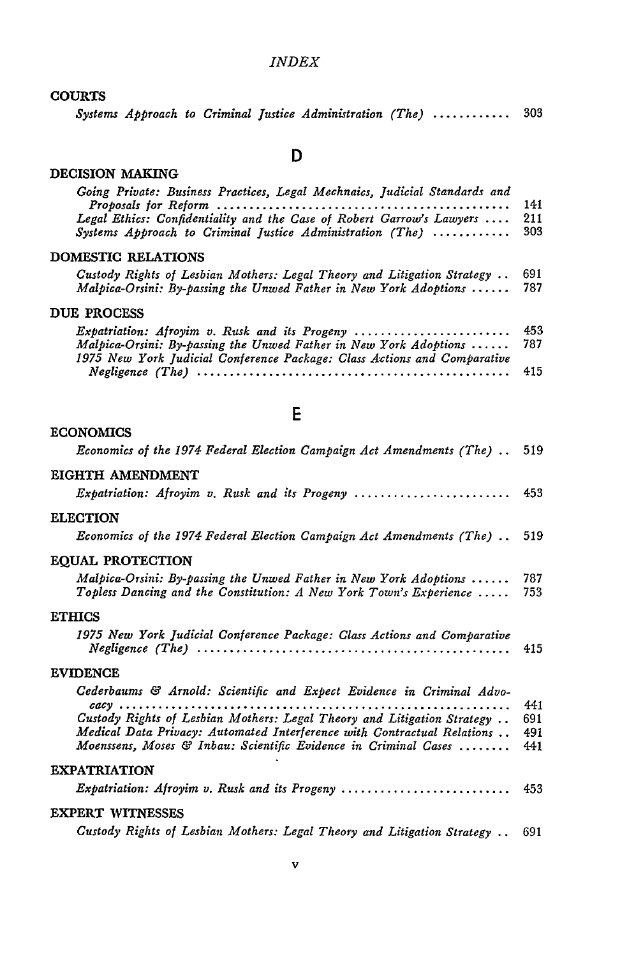#### **COURTS**

|  |  |  |  |  | Systems Approach to Criminal Justice Administration (The)  303 |  |  |  |
|--|--|--|--|--|----------------------------------------------------------------|--|--|--|
|--|--|--|--|--|----------------------------------------------------------------|--|--|--|

#### DECISION MAKING

ECONOMICS

## **D**

| Going Private: Business Practices, Legal Mechnaics, Judicial Standards and<br>Legal Ethics: Confidentiality and the Case of Robert Garrow's Lawyers<br>Systems Approach to Criminal Justice Administration (The) | 141<br>211<br>303 |
|------------------------------------------------------------------------------------------------------------------------------------------------------------------------------------------------------------------|-------------------|
| DOMESTIC RELATIONS                                                                                                                                                                                               |                   |
| Custody Rights of Lesbian Mothers: Legal Theory and Litigation Strategy $\ldots$<br>Malpica-Orsini: By-passing the Unwed Father in New York Adoptions                                                            | 691<br>787        |
| DUE PROCESS                                                                                                                                                                                                      |                   |
| $Expartition:$ Afroyim v. Rusk and its Progeny<br>Malpica-Orsini: By-passing the Unwed Father in New York Adoptions<br>1975 New York Judicial Conference Package: Class Actions and Comparative                  | 453<br>787        |
| $Negligence (The) \ldots \ldots \ldots \ldots \ldots \ldots \ldots \ldots \ldots \ldots \ldots \ldots \ldots$                                                                                                    | 415               |

|  | ٦  |   |
|--|----|---|
|  |    |   |
|  | -- | ٠ |

| Economics of the 1974 Federal Election Campaign Act Amendments (The)  519                                                                                                                                                                                                                                |                          |
|----------------------------------------------------------------------------------------------------------------------------------------------------------------------------------------------------------------------------------------------------------------------------------------------------------|--------------------------|
| EIGHTH AMENDMENT                                                                                                                                                                                                                                                                                         |                          |
| <i>Expatriation: Afroyim v. Rusk and its Progeny </i>                                                                                                                                                                                                                                                    | 453                      |
| <b>ELECTION</b>                                                                                                                                                                                                                                                                                          |                          |
| Economics of the 1974 Federal Election Campaign Act Amendments (The)                                                                                                                                                                                                                                     | 519                      |
| <b>EOUAL PROTECTION</b>                                                                                                                                                                                                                                                                                  |                          |
| Malpica-Orsini: By-passing the Unwed Father in New York Adoptions<br>Topless Dancing and the Constitution: A New York Town's Experience                                                                                                                                                                  | 787<br>753               |
| <b>ETHICS</b>                                                                                                                                                                                                                                                                                            |                          |
| 1975 New York Judicial Conference Package: Class Actions and Comparative                                                                                                                                                                                                                                 | 415                      |
| <b>EVIDENCE</b>                                                                                                                                                                                                                                                                                          |                          |
| Cederbaums & Arnold: Scientific and Expect Evidence in Criminal Advo-<br>$cacy$<br>Custody Rights of Lesbian Mothers: Legal Theory and Litigation Strategy<br>Medical Data Privacy: Automated Interference with Contractual Relations<br>Moenssens, Moses & Inbau: Scientific Evidence in Criminal Cases | 441<br>691<br>491<br>441 |
| <b>EXPATRIATION</b>                                                                                                                                                                                                                                                                                      |                          |
| <i>Expatriation: Afroyim v. Rusk and its Progeny </i>                                                                                                                                                                                                                                                    | 453                      |
| EXPERT WITNESSES                                                                                                                                                                                                                                                                                         |                          |
| Custody Rights of Lesbian Mothers: Legal Theory and Litigation Strategy                                                                                                                                                                                                                                  | 691                      |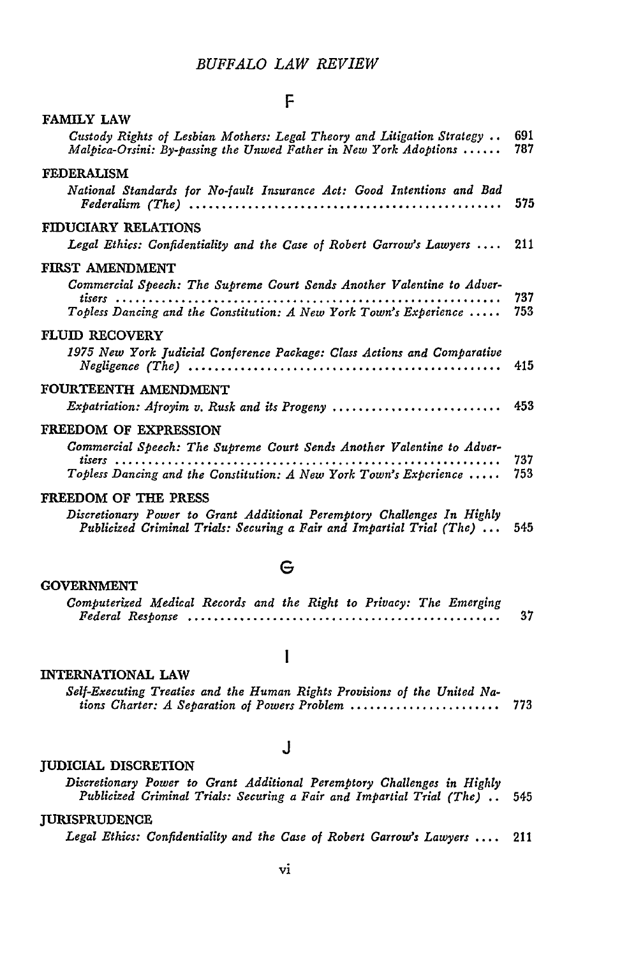#### F

| <b>FAMILY LAW</b>                                                                                                                                                                               |            |
|-------------------------------------------------------------------------------------------------------------------------------------------------------------------------------------------------|------------|
| Custody Rights of Lesbian Mothers: Legal Theory and Litigation Strategy<br>Malpica-Orsini: By-passing the Unwed Father in New York Adoptions $\ldots \ldots$                                    | 691<br>787 |
| <b>FEDERALISM</b>                                                                                                                                                                               |            |
| National Standards for No-fault Insurance Act: Good Intentions and Bad                                                                                                                          | 575        |
| FIDUCIARY RELATIONS                                                                                                                                                                             |            |
| Legal Ethics: Confidentiality and the Case of Robert Garrow's Lawyers                                                                                                                           | 211        |
| FIRST AMENDMENT                                                                                                                                                                                 |            |
| Commercial Speech: The Supreme Court Sends Another Valentine to Adver-<br>Topless Dancing and the Constitution: A New York Town's Experience                                                    | 737<br>753 |
| <b>FLUID RECOVERY</b>                                                                                                                                                                           |            |
| 1975 New York Judicial Conference Package: Class Actions and Comparative<br>$\textit{Neglique (The)} \dots \dots \dots \dots \dots \dots \dots \dots \dots \dots \dots \dots \dots \dots \dots$ | 415        |
| FOURTEENTH AMENDMENT                                                                                                                                                                            |            |
| Expatriation: Afroyim v. Rusk and its Progeny                                                                                                                                                   | 453        |
| FREEDOM OF EXPRESSION                                                                                                                                                                           |            |
| Commercial Speech: The Supreme Court Sends Another Valentine to Adver-<br>Topless Dancing and the Constitution: A New York Town's Experience                                                    | 737<br>753 |
| FREEDOM OF THE PRESS                                                                                                                                                                            |            |
| Discretionary Power to Grant Additional Peremptory Challenges In Highly<br>Publicized Criminal Trials: Securing a Fair and Impartial Trial (The)                                                | 545        |
|                                                                                                                                                                                                 |            |

#### **G**

#### GOVERNMENT

| Computerized Medical Records and the Right to Privacy: The Emerging |  |  |  |  |    |
|---------------------------------------------------------------------|--|--|--|--|----|
|                                                                     |  |  |  |  | 37 |

 $\mathbf{l}$ 

#### **INTERNATIONAL LAW**

*Self-Executing Treaties and the Human Rights Provisions of the United Nations Charter: A Separation of Powers Problem* ....................... **773**

#### *J*

#### **JUDICIAL** DISCRETION

*Discretionary Power to Grant Additional Peremptory Challenges in Highly Publicized Criminal Trials: Securing a Fair and Impartial Trial (The)* .. 545

#### **JURISPRUDENCE**

*Legal Ethics: Confidentiality and the Case of Robert Garrow's Lawyers* .... 211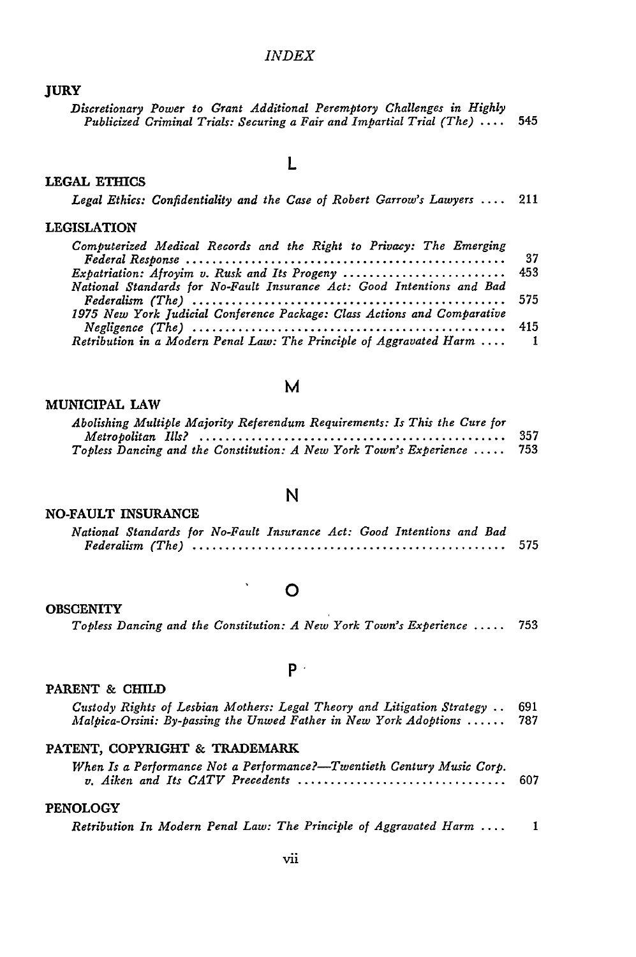#### JURY

*Discretionary Power to Grant Additional Peremptory Challenges in Highly Publicized Criminal Trials: Securing a Fair and Impartial Trial (The)* .... 545

#### **LEGAL ETHICS**

## L

|  |  |  |  |  | Legal Ethics: Confidentiality and the Case of Robert Garrow's Lawyers  211 |  |
|--|--|--|--|--|----------------------------------------------------------------------------|--|
|--|--|--|--|--|----------------------------------------------------------------------------|--|

#### LEGISLATION

| Computerized Medical Records and the Right to Privacy: The Emerging      |    |
|--------------------------------------------------------------------------|----|
|                                                                          | 37 |
| Expatriation: Afroyim v. Rusk and Its Progeny  453                       |    |
| National Standards for No-Fault Insurance Act: Good Intentions and Bad   |    |
|                                                                          |    |
| 1975 New York Judicial Conference Package: Class Actions and Comparative |    |
|                                                                          |    |
| Retribution in a Modern Penal Law: The Principle of Aggravated Harm  1   |    |

#### **M**

#### **MUNICIPAL** LAW

| Abolishing Multiple Majority Referendum Requirements: Is This the Cure for |       |
|----------------------------------------------------------------------------|-------|
|                                                                            | - 357 |
| Topless Dancing and the Constitution: A New York Town's Experience  753    |       |

#### **NO-FAULT INSURANCE**

# **N**

| National Standards for No-Fault Insurance Act: Good Intentions and Bad |  |  |  |  |  |  |  |  |  |
|------------------------------------------------------------------------|--|--|--|--|--|--|--|--|--|
|                                                                        |  |  |  |  |  |  |  |  |  |

#### **0**

 $\ddot{\phantom{a}}$ 

#### **OBSCENITY**

*Topless Dancing and the Constitution: A New York Town's Experience .....* **<sup>753</sup>**

#### **P**

#### PARENT **& CHILD**

| Custody Rights of Lesbian Mothers: Legal Theory and Litigation Strategy . 691 |     |
|-------------------------------------------------------------------------------|-----|
| Malpica-Orsini: By-passing the Unwed Father in New York Adoptions             | 787 |

#### **PATENT,** COPYRIGHT & TRADEMARK

| When Is a Performance Not a Performance?—Twentieth Century Music Corp. |     |
|------------------------------------------------------------------------|-----|
|                                                                        | 607 |

#### **PENOLOGY**

*Retribution In Modern Penal Law: The Principle of Aggravated Harm* .... **1**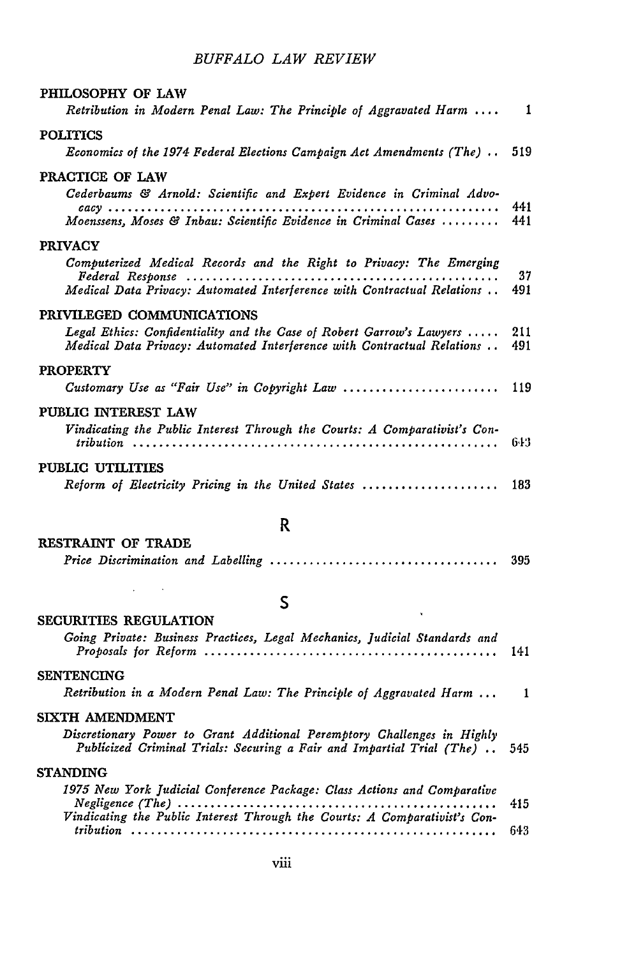## *BUFFALO LAW REVIEW*

| PHILOSOPHY OF LAW                                                                                                                                |            |
|--------------------------------------------------------------------------------------------------------------------------------------------------|------------|
| Retribution in Modern Penal Law: The Principle of Aggravated Harm  1                                                                             |            |
| <b>POLITICS</b>                                                                                                                                  |            |
| Economics of the 1974 Federal Elections Campaign Act Amendments (The)                                                                            | 519        |
| PRACTICE OF LAW                                                                                                                                  |            |
| Cederbaums & Arnold: Scientific and Expert Evidence in Criminal Advo-                                                                            | 441        |
| Moenssens, Moses & Inbau: Scientific Evidence in Criminal Cases                                                                                  | 441        |
| <b>PRIVACY</b>                                                                                                                                   |            |
| Computerized Medical Records and the Right to Privacy: The Emerging                                                                              | 37         |
| Medical Data Privacy: Automated Interference with Contractual Relations                                                                          | 491        |
| PRIVILEGED COMMUNICATIONS                                                                                                                        |            |
| Legal Ethics: Confidentiality and the Case of Robert Garrow's Lawyers<br>Medical Data Privacy: Automated Interference with Contractual Relations | 211<br>491 |
| <b>PROPERTY</b>                                                                                                                                  |            |
| Customary Use as "Fair Use" in Copyright Law                                                                                                     | 119        |
| PUBLIC INTEREST LAW                                                                                                                              |            |
| Vindicating the Public Interest Through the Courts: A Comparativist's Con-                                                                       | 643        |
| PUBLIC UTILITIES                                                                                                                                 |            |
| Reform of Electricity Pricing in the United States                                                                                               | 183        |

#### **RESTRAINT** OF **TRADE**

**SECURITIES REGULATION**

 $\mathcal{L}_{\text{max}}$  and  $\mathcal{L}_{\text{max}}$ 

## R

**S**

| Going Private: Business Practices, Legal Mechanics, Judicial Standards and                                                                            |     |
|-------------------------------------------------------------------------------------------------------------------------------------------------------|-----|
| <b>SENTENCING</b>                                                                                                                                     |     |
| Retribution in a Modern Penal Law: The Principle of Aggravated Harm  1                                                                                |     |
| SIXTH AMENDMENT                                                                                                                                       |     |
| Discretionary Power to Grant Additional Peremptory Challenges in Highly<br>Publicized Criminal Trials: Securing a Fair and Impartial Trial (The)  545 |     |
| <b>STANDING</b>                                                                                                                                       |     |
| 1975 New York Judicial Conference Package: Class Actions and Comparative                                                                              | 415 |
| Vindicating the Public Interest Through the Courts: A Comparativist's Con-                                                                            |     |
|                                                                                                                                                       | 643 |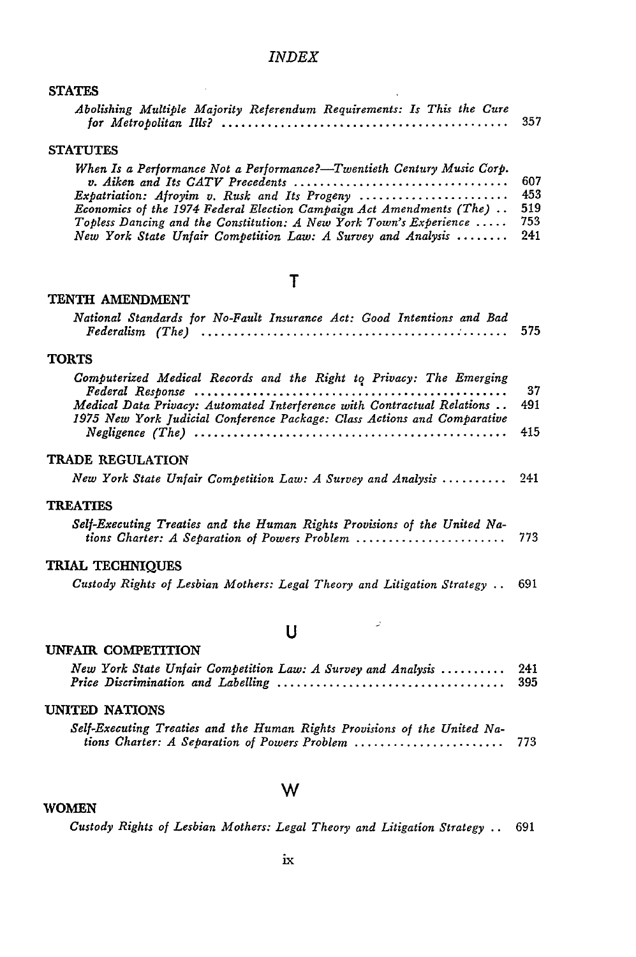$\sim$ 

#### **STATES**

|  |  | Abolishing Multiple Majority Referendum Requirements: Is This the Cure |  |  |     |
|--|--|------------------------------------------------------------------------|--|--|-----|
|  |  |                                                                        |  |  | 357 |

 $\ddot{\phantom{a}}$ 

#### **STATUTES**

| When Is a Performance Not a Performance?—Twentieth Century Music Corp.      |     |
|-----------------------------------------------------------------------------|-----|
|                                                                             | 607 |
| Expatriation: Afroyim v. Rusk and Its Progeny  453                          |     |
| <i>Economics of the 1974 Federal Election Campaign Act Amendments (The)</i> | 519 |
| Topless Dancing and the Constitution: A New York Town's Experience          | 753 |
| New York State Unfair Competition Law: A Survey and Analysis  241           |     |

## T

#### **TENTH** AMENDMENT

| National Standards for No-Fault Insurance Act: Good Intentions and Bad                                                                                                                                                                                                                                                                       | 575              |
|----------------------------------------------------------------------------------------------------------------------------------------------------------------------------------------------------------------------------------------------------------------------------------------------------------------------------------------------|------------------|
| <b>TORTS</b>                                                                                                                                                                                                                                                                                                                                 |                  |
| Computerized Medical Records and the Right to Privacy: The Emerging<br>Medical Data Privacy: Automated Interference with Contractual Relations<br>1975 New York Judicial Conference Package: Class Actions and Comparative<br>$\textit{Neglique (The) } \dots \dots \dots \dots \dots \dots \dots \dots \dots \dots \dots \dots \dots \dots$ | 37<br>491<br>415 |
| TRADE REGULATION                                                                                                                                                                                                                                                                                                                             |                  |
| New York State Unfair Competition Law: A Survey and Analysis                                                                                                                                                                                                                                                                                 | 241              |
| <b>TREATIES</b>                                                                                                                                                                                                                                                                                                                              |                  |
| Self-Executing Treaties and the Human Rights Provisions of the United Na-<br>tions Charter: A Separation of Powers Problem                                                                                                                                                                                                                   | 773              |
| <b>TRIAL TECHNIQUES</b>                                                                                                                                                                                                                                                                                                                      |                  |
| Custody Rights of Lesbian Mothers: Legal Theory and Litigation Strategy                                                                                                                                                                                                                                                                      | 691              |

## **U**

 $\omega$ 

#### **UNFAIR** COMPETITION

| New York State Unfair Competition Law: A Survey and Analysis  241 |  |
|-------------------------------------------------------------------|--|
| UNITED NATIONS                                                    |  |

| Self-Executing Treaties and the Human Rights Provisions of the United Na- |       |
|---------------------------------------------------------------------------|-------|
| tions Charter: A Separation of Powers Problem                             | - 773 |

## **W**

| WOMEN |  |
|-------|--|
|-------|--|

*Custody Rights of Lesbian Mothers: Legal Theory and Litigation Strategy* **..** 691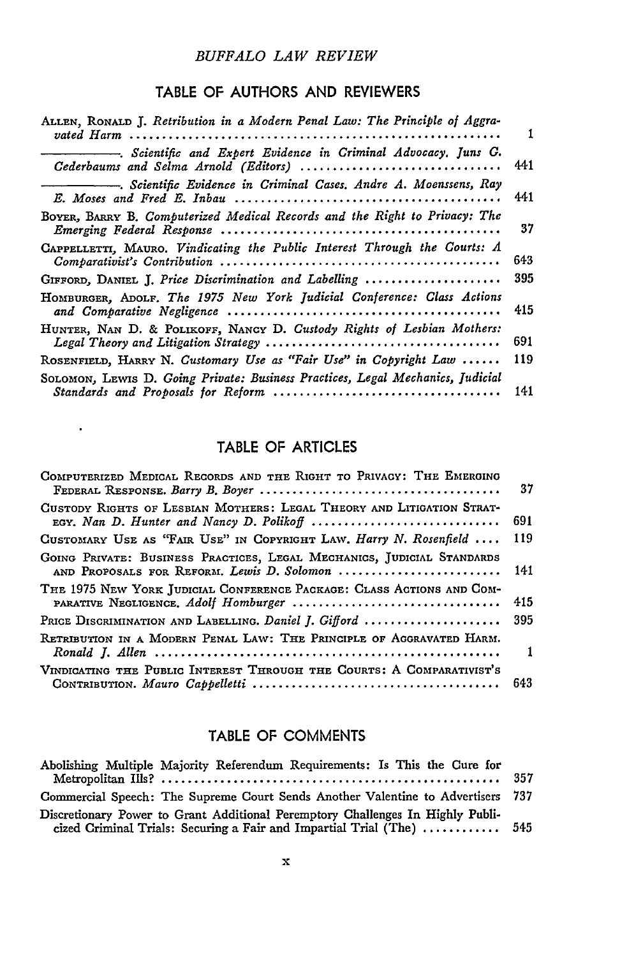#### *BUFFALO LAW REVIEW*

## TABLE OF **AUTHORS AND** REVIEWERS

| ALLEN, RONALD J. Retribution in a Modern Penal Law: The Principle of Aggra-                              | 1   |
|----------------------------------------------------------------------------------------------------------|-----|
| -. Scientific and Expert Evidence in Criminal Advocacy. Juns G.<br>Cederbaums and Selma Arnold (Editors) | 441 |
| -. Scientific Evidence in Criminal Cases. Andre A. Moenssens, Ray                                        | 441 |
| BOYER, BARRY B. Computerized Medical Records and the Right to Privacy: The                               | 37  |
| CAPPELLETTI, MAURO. Vindicating the Public Interest Through the Courts: A                                | 643 |
| GIFFORD, DANIEL J. Price Discrimination and Labelling                                                    | 395 |
| HOMBURGER, ADOLF. The 1975 New York Judicial Conference: Class Actions                                   | 415 |
| HUNTER, NAN D. & POLIKOFF, NANCY D. Custody Rights of Lesbian Mothers:                                   | 691 |
| ROSENFIELD, HARRY N. Customary Use as "Fair Use" in Copyright Law                                        | 119 |
| SOLOMON, LEWIS D. Going Private: Business Practices, Legal Mechanics, Judicial                           | 141 |

## TABLE OF ARTICLES

 $\mathcal{L}(\mathcal{A})$  and  $\mathcal{L}(\mathcal{A})$ 

| COMPUTERIZED MEDICAL RECORDS AND THE RIGHT TO PRIVACY: THE EMERGING                                                       | 37             |
|---------------------------------------------------------------------------------------------------------------------------|----------------|
| CUSTODY RIGHTS OF LESBIAN MOTHERS: LEGAL THEORY AND LITIGATION STRAT-<br>EGY. Nan D. Hunter and Nancy D. Polikoff         | 691            |
| CUSTOMARY USE AS "FAIR USE" IN COPYRIGHT LAW. Harry N. Rosenfield                                                         | 119            |
| GOING PRIVATE: BUSINESS PRACTICES, LEGAL MECHANICS, JUDICIAL STANDARDS<br>AND PROPOSALS FOR REFORM. Lewis D. Solomon  141 |                |
| THE 1975 NEW YORK JUDICIAL CONFERENCE PACKAGE: CLASS ACTIONS AND COM-                                                     | 415            |
| PRICE DISCRIMINATION AND LABELLING. Daniel J. Gifford  395                                                                |                |
| RETRIBUTION IN A MODERN PENAL LAW: THE PRINCIPLE OF AGGRAVATED HARM.                                                      | $\blacksquare$ |
| VINDIGATING THE PUBLIC INTEREST THROUGH THE COURTS: A COMPARATIVIST'S                                                     |                |

## TABLE OF **COMMENTS**

| Abolishing Multiple Majority Referendum Requirements: Is This the Cure for                  |  |
|---------------------------------------------------------------------------------------------|--|
|                                                                                             |  |
| Commercial Speech: The Supreme Court Sends Another Valentine to Advertisers 737             |  |
| Discretionary Power to Grant Additional Peremptory Challenges In Highly Publi-              |  |
| cized Criminal Trials: Securing a Fair and Impartial Trial (The) $\dots\dots\dots\dots$ 545 |  |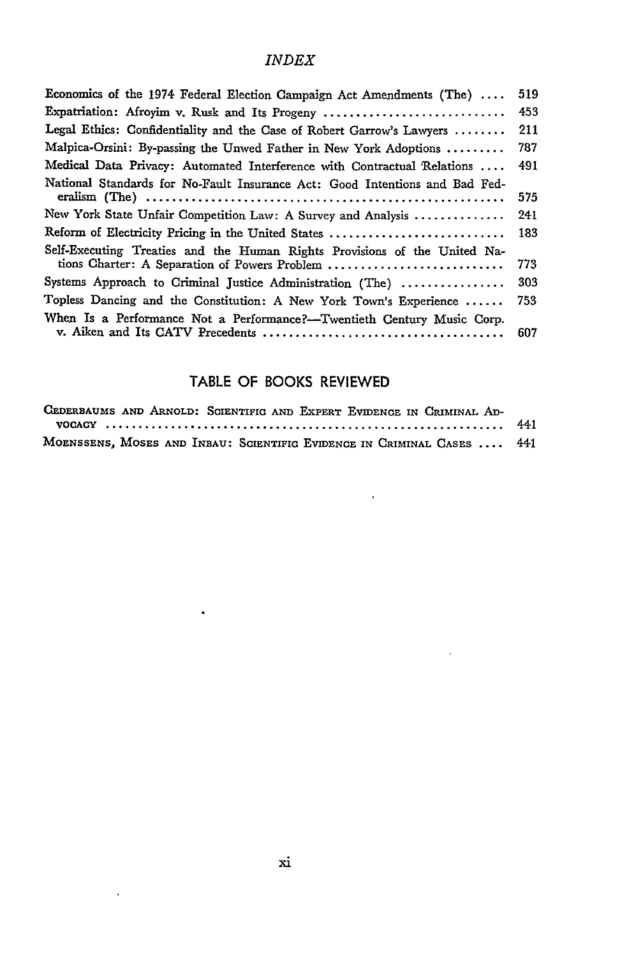| Expatriation: Afroyim v. Rusk and Its Progeny<br>Legal Ethics: Confidentiality and the Case of Robert Garrow's Lawyers<br>Malpica-Orsini: By-passing the Unwed Father in New York Adoptions<br>Medical Data Privacy: Automated Interference with Contractual Relations<br>National Standards for No-Fault Insurance Act: Good Intentions and Bad Fed-<br>New York State Unfair Competition Law: A Survey and Analysis<br>Reform of Electricity Pricing in the United States<br>Self-Executing Treaties and the Human Rights Provisions of the United Na-<br>tions Charter: A Separation of Powers Problem<br>Systems Approach to Criminal Justice Administration (The)<br>Topless Dancing and the Constitution: A New York Town's Experience<br>When Is a Performance Not a Performance?-Twentieth Century Music Corp. | Economics of the 1974 Federal Election Campaign Act Amendments (The) | 519 |
|------------------------------------------------------------------------------------------------------------------------------------------------------------------------------------------------------------------------------------------------------------------------------------------------------------------------------------------------------------------------------------------------------------------------------------------------------------------------------------------------------------------------------------------------------------------------------------------------------------------------------------------------------------------------------------------------------------------------------------------------------------------------------------------------------------------------|----------------------------------------------------------------------|-----|
|                                                                                                                                                                                                                                                                                                                                                                                                                                                                                                                                                                                                                                                                                                                                                                                                                        |                                                                      | 453 |
|                                                                                                                                                                                                                                                                                                                                                                                                                                                                                                                                                                                                                                                                                                                                                                                                                        |                                                                      | 211 |
|                                                                                                                                                                                                                                                                                                                                                                                                                                                                                                                                                                                                                                                                                                                                                                                                                        |                                                                      | 787 |
|                                                                                                                                                                                                                                                                                                                                                                                                                                                                                                                                                                                                                                                                                                                                                                                                                        |                                                                      | 491 |
|                                                                                                                                                                                                                                                                                                                                                                                                                                                                                                                                                                                                                                                                                                                                                                                                                        |                                                                      | 575 |
|                                                                                                                                                                                                                                                                                                                                                                                                                                                                                                                                                                                                                                                                                                                                                                                                                        |                                                                      | 241 |
|                                                                                                                                                                                                                                                                                                                                                                                                                                                                                                                                                                                                                                                                                                                                                                                                                        |                                                                      | 183 |
|                                                                                                                                                                                                                                                                                                                                                                                                                                                                                                                                                                                                                                                                                                                                                                                                                        |                                                                      | 773 |
|                                                                                                                                                                                                                                                                                                                                                                                                                                                                                                                                                                                                                                                                                                                                                                                                                        |                                                                      | 303 |
|                                                                                                                                                                                                                                                                                                                                                                                                                                                                                                                                                                                                                                                                                                                                                                                                                        |                                                                      | 753 |
|                                                                                                                                                                                                                                                                                                                                                                                                                                                                                                                                                                                                                                                                                                                                                                                                                        |                                                                      | 607 |

## TABLE OF BOOKS REVIEWED

| CEDERBAUMS AND ARNOLD: SCIENTIFIC AND EXPERT EVIDENCE IN CRIMINAL AD-  |  |  |
|------------------------------------------------------------------------|--|--|
|                                                                        |  |  |
| MOENSSENS, MOSES AND INBAU: SCIENTIFIC EVIDENCE IN CRIMINAL CASES  441 |  |  |

 $\hat{\bullet}$ 

 $\hat{\mathbf{v}}$ 

 $\sim$   $\mu$ 

 $\sim$